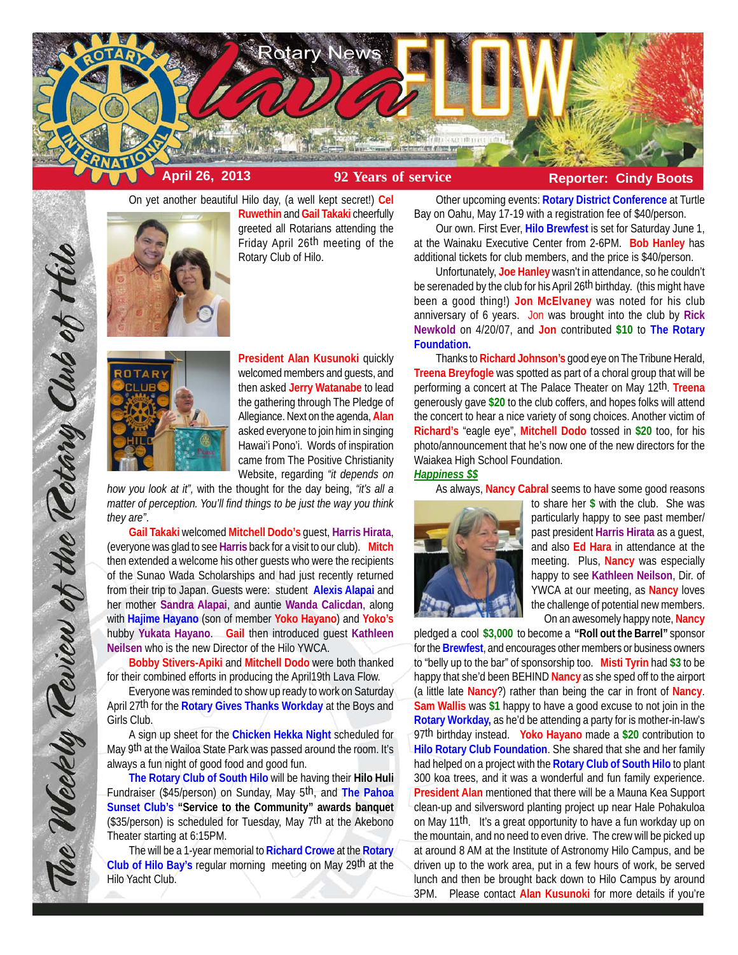

On yet another beautiful Hilo day, (a well kept secret!) **Cel**



**Ruwethin** and **Gail Takaki** cheerfully greeted all Rotarians attending the Friday April 26<sup>th</sup> meeting of the Rotary Club of Hilo.



**President Alan Kusunoki** quickly welcomed members and guests, and then asked **Jerry Watanabe** to lead the gathering through The Pledge of Allegiance. Next on the agenda, **Alan** asked everyone to join him in singing Hawai'i Pono'i. Words of inspiration came from The Positive Christianity Website, regarding *"it depends on*

*how you look at it",* with the thought for the day being, *"it's all a matter of perception. You'll find things to be just the way you think they are"*.

**Gail Takaki** welcomed **Mitchell Dodo's** guest, **Harris Hirata**, (everyone was glad to see **Harris** back for a visit to our club). **Mitch** then extended a welcome his other guests who were the recipients of the Sunao Wada Scholarships and had just recently returned from their trip to Japan. Guests were: student **Alexis Alapai** and her mother **Sandra Alapai**, and auntie **Wanda Calicdan**, along with **Hajime Hayano** (son of member **Yoko Hayano**) and **Yoko's** hubby **Yukata Hayano**. **Gail** then introduced guest **Kathleen Neilsen** who is the new Director of the Hilo YWCA.

**Bobby Stivers-Apiki** and **Mitchell Dodo** were both thanked for their combined efforts in producing the April19th Lava Flow.

Everyone was reminded to show up ready to work on Saturday April 27th for the **Rotary Gives Thanks Workday** at the Boys and Girls Club.

A sign up sheet for the **Chicken Hekka Night** scheduled for May 9th at the Wailoa State Park was passed around the room. It's always a fun night of good food and good fun.

**The Rotary Club of South Hilo** will be having their **Hilo Huli** Fundraiser (\$45/person) on Sunday, May 5th, and **The Pahoa Sunset Club's "Service to the Community" awards banquet** (\$35/person) is scheduled for Tuesday, May 7th at the Akebono Theater starting at 6:15PM.

The will be a 1-year memorial to **Richard Crowe** at the **Rotary Club of Hilo Bay's** regular morning meeting on May 29th at the Hilo Yacht Club.

Other upcoming events: **Rotary District Conference** at Turtle Bay on Oahu, May 17-19 with a registration fee of \$40/person.

Our own. First Ever, **Hilo Brewfest** is set for Saturday June 1, at the Wainaku Executive Center from 2-6PM. **Bob Hanley** has additional tickets for club members, and the price is \$40/person.

Unfortunately, **Joe Hanley** wasn't in attendance, so he couldn't be serenaded by the club for his April 26th birthday. (this might have been a good thing!) **Jon McElvaney** was noted for his club anniversary of 6 years. Jon was brought into the club by **Rick Newkold** on 4/20/07, and **Jon** contributed **\$10** to **The Rotary Foundation.**

Thanks to **Richard Johnson's** good eye on The Tribune Herald, **Treena Breyfogle** was spotted as part of a choral group that will be performing a concert at The Palace Theater on May 12th. **Treena** generously gave **\$20** to the club coffers, and hopes folks will attend the concert to hear a nice variety of song choices. Another victim of **Richard's** "eagle eye", **Mitchell Dodo** tossed in **\$20** too, for his photo/announcement that he's now one of the new directors for the Waiakea High School Foundation.

### *Happiness \$\$*

As always, **Nancy Cabral** seems to have some good reasons



to share her **\$** with the club. She was particularly happy to see past member/ past president **Harris Hirata** as a guest, and also **Ed Hara** in attendance at the meeting. Plus, **Nancy** was especially happy to see **Kathleen Neilson**, Dir. of YWCA at our meeting, as **Nancy** loves the challenge of potential new members. On an awesomely happy note, **Nancy**

pledged a cool **\$3,000** to become a **"Roll out the Barrel"** sponsor for the **Brewfest**, and encourages other members or business owners to "belly up to the bar" of sponsorship too. **Misti Tyrin** had **\$3** to be happy that she'd been BEHIND **Nancy** as she sped off to the airport (a little late **Nancy**?) rather than being the car in front of **Nancy**. **Sam Wallis** was **\$1** happy to have a good excuse to not join in the **Rotary Workday,** as he'd be attending a party for is mother-in-law's 97th birthday instead. **Yoko Hayano** made a **\$20** contribution to **Hilo Rotary Club Foundation**. She shared that she and her family had helped on a project with the **Rotary Club of South Hilo** to plant 300 koa trees, and it was a wonderful and fun family experience. **President Alan** mentioned that there will be a Mauna Kea Support clean-up and silversword planting project up near Hale Pohakuloa on May 11th. It's a great opportunity to have a fun workday up on the mountain, and no need to even drive. The crew will be picked up at around 8 AM at the Institute of Astronomy Hilo Campus, and be driven up to the work area, put in a few hours of work, be served lunch and then be brought back down to Hilo Campus by around 3PM. Please contact **Alan Kusunoki** for more details if you're